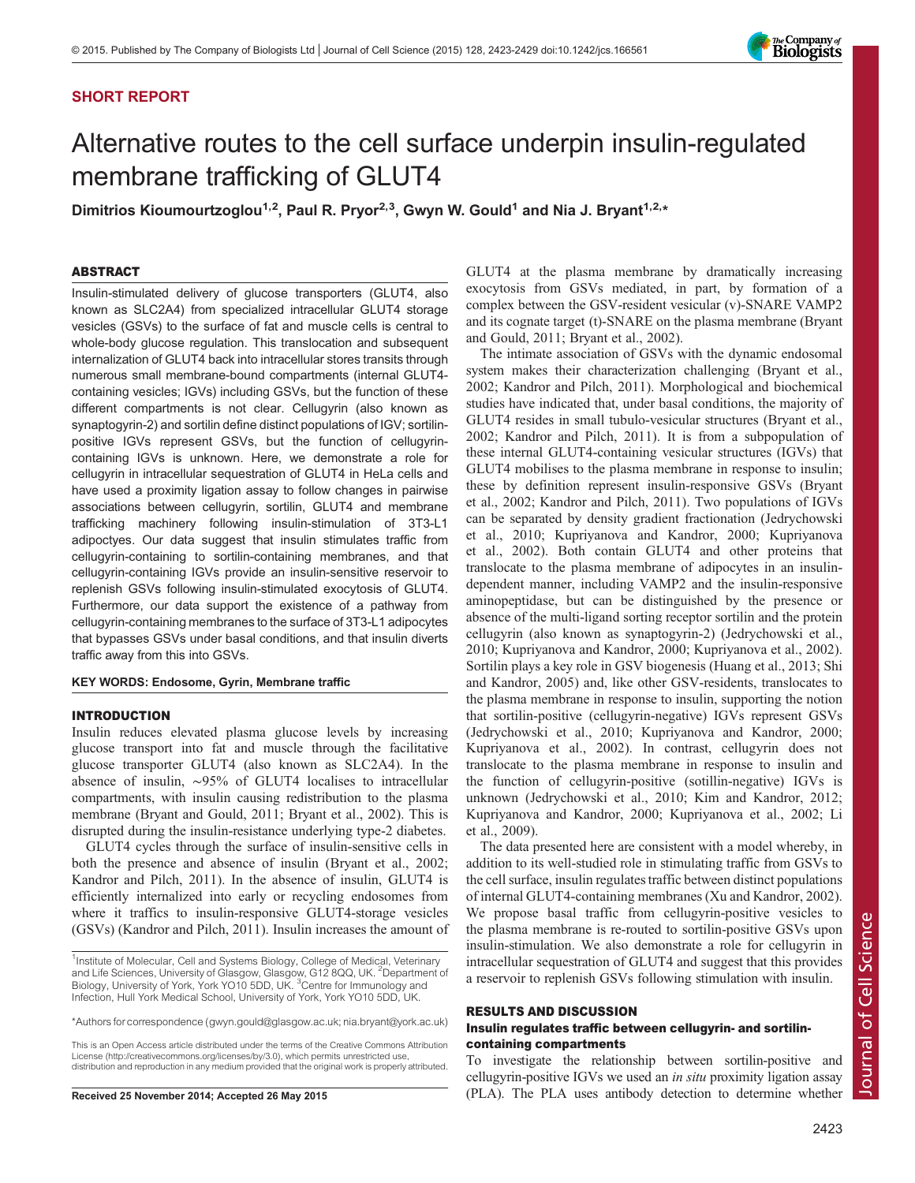# SHORT REPORT



# Alternative routes to the cell surface underpin insulin-regulated membrane trafficking of GLUT4

Dimitrios Kioumourtzoglou<sup>1,2</sup>, Paul R. Pryor<sup>2,3</sup>, Gwyn W. Gould<sup>1</sup> and Nia J. Bryant<sup>1,2,\*</sup>

## ABSTRACT

Insulin-stimulated delivery of glucose transporters (GLUT4, also known as SLC2A4) from specialized intracellular GLUT4 storage vesicles (GSVs) to the surface of fat and muscle cells is central to whole-body glucose regulation. This translocation and subsequent internalization of GLUT4 back into intracellular stores transits through numerous small membrane-bound compartments (internal GLUT4 containing vesicles; IGVs) including GSVs, but the function of these different compartments is not clear. Cellugyrin (also known as synaptogyrin-2) and sortilin define distinct populations of IGV; sortilinpositive IGVs represent GSVs, but the function of cellugyrincontaining IGVs is unknown. Here, we demonstrate a role for cellugyrin in intracellular sequestration of GLUT4 in HeLa cells and have used a proximity ligation assay to follow changes in pairwise associations between cellugyrin, sortilin, GLUT4 and membrane trafficking machinery following insulin-stimulation of 3T3-L1 adipoctyes. Our data suggest that insulin stimulates traffic from cellugyrin-containing to sortilin-containing membranes, and that cellugyrin-containing IGVs provide an insulin-sensitive reservoir to replenish GSVs following insulin-stimulated exocytosis of GLUT4. Furthermore, our data support the existence of a pathway from cellugyrin-containing membranes to the surface of 3T3-L1 adipocytes that bypasses GSVs under basal conditions, and that insulin diverts traffic away from this into GSVs.

## KEY WORDS: Endosome, Gyrin, Membrane traffic

## INTRODUCTION

Insulin reduces elevated plasma glucose levels by increasing glucose transport into fat and muscle through the facilitative glucose transporter GLUT4 (also known as SLC2A4). In the absence of insulin, ∼95% of GLUT4 localises to intracellular compartments, with insulin causing redistribution to the plasma membrane ([Bryant and Gould, 2011](#page-5-0); [Bryant et al., 2002](#page-5-0)). This is disrupted during the insulin-resistance underlying type-2 diabetes.

GLUT4 cycles through the surface of insulin-sensitive cells in both the presence and absence of insulin ([Bryant et al., 2002](#page-5-0); [Kandror and Pilch, 2011](#page-5-0)). In the absence of insulin, GLUT4 is efficiently internalized into early or recycling endosomes from where it traffics to insulin-responsive GLUT4-storage vesicles (GSVs) [\(Kandror and Pilch, 2011\)](#page-5-0). Insulin increases the amount of

This is an Open Access article distributed under the terms of the Creative Commons Attribution License (http://creativecommons.org/licenses/by/3.0), which permits unrestricted use, distribution and reproduction in any medium provided that the original work is properly attributed.

GLUT4 at the plasma membrane by dramatically increasing exocytosis from GSVs mediated, in part, by formation of a complex between the GSV-resident vesicular (v)-SNARE VAMP2 and its cognate target (t)-SNARE on the plasma membrane ([Bryant](#page-5-0) [and Gould, 2011](#page-5-0); [Bryant et al., 2002](#page-5-0)).

The intimate association of GSVs with the dynamic endosomal system makes their characterization challenging [\(Bryant et al.,](#page-5-0) [2002; Kandror and Pilch, 2011\)](#page-5-0). Morphological and biochemical studies have indicated that, under basal conditions, the majority of GLUT4 resides in small tubulo-vesicular structures [\(Bryant et al.,](#page-5-0) [2002; Kandror and Pilch, 2011\)](#page-5-0). It is from a subpopulation of these internal GLUT4-containing vesicular structures (IGVs) that GLUT4 mobilises to the plasma membrane in response to insulin; these by definition represent insulin-responsive GSVs ([Bryant](#page-5-0) [et al., 2002; Kandror and Pilch, 2011](#page-5-0)). Two populations of IGVs can be separated by density gradient fractionation [\(Jedrychowski](#page-5-0) [et al., 2010](#page-5-0); [Kupriyanova and Kandror, 2000; Kupriyanova](#page-5-0) [et al., 2002\)](#page-5-0). Both contain GLUT4 and other proteins that translocate to the plasma membrane of adipocytes in an insulindependent manner, including VAMP2 and the insulin-responsive aminopeptidase, but can be distinguished by the presence or absence of the multi-ligand sorting receptor sortilin and the protein cellugyrin (also known as synaptogyrin-2) ([Jedrychowski et al.,](#page-5-0) [2010; Kupriyanova and Kandror, 2000](#page-5-0); [Kupriyanova et al., 2002\)](#page-5-0). Sortilin plays a key role in GSV biogenesis ([Huang et al., 2013; Shi](#page-5-0) [and Kandror, 2005](#page-5-0)) and, like other GSV-residents, translocates to the plasma membrane in response to insulin, supporting the notion that sortilin-positive (cellugyrin-negative) IGVs represent GSVs [\(Jedrychowski et al., 2010; Kupriyanova and Kandror, 2000](#page-5-0); [Kupriyanova et al., 2002](#page-5-0)). In contrast, cellugyrin does not translocate to the plasma membrane in response to insulin and the function of cellugyrin-positive (sotillin-negative) IGVs is unknown ([Jedrychowski et al., 2010; Kim and Kandror, 2012](#page-5-0); [Kupriyanova and Kandror, 2000](#page-5-0); [Kupriyanova et al., 2002](#page-5-0); [Li](#page-5-0) [et al., 2009\)](#page-5-0).

The data presented here are consistent with a model whereby, in addition to its well-studied role in stimulating traffic from GSVs to the cell surface, insulin regulates traffic between distinct populations of internal GLUT4-containing membranes [\(Xu and Kandror, 2002\)](#page-6-0). We propose basal traffic from cellugyrin-positive vesicles to the plasma membrane is re-routed to sortilin-positive GSVs upon insulin-stimulation. We also demonstrate a role for cellugyrin in intracellular sequestration of GLUT4 and suggest that this provides a reservoir to replenish GSVs following stimulation with insulin.

#### RESULTS AND DISCUSSION

## Insulin regulates traffic between cellugyrin- and sortilincontaining compartments

To investigate the relationship between sortilin-positive and cellugyrin-positive IGVs we used an in situ proximity ligation assay Received 25 November 2014; Accepted 26 May 2015 (PLA). The PLA uses antibody detection to determine whether

<sup>&</sup>lt;sup>1</sup>Institute of Molecular, Cell and Systems Biology, College of Medical, Veterinary and Life Sciences, University of Glasgow, Glasgow, G12 8QQ, UK. <sup>2</sup>Department of<br>Biology, University of York, York YO10 5DD, UK. <sup>3</sup>Centre for Immunology and Infection, Hull York Medical School, University of York, York YO10 5DD, UK.

<sup>\*</sup>Authors for correspondence ([gwyn.gould@glasgow.ac.uk;](mailto:gwyn.gould@glasgow.ac.uk) [nia.bryant@york.ac.uk\)](mailto:nia.bryant@york.ac.uk)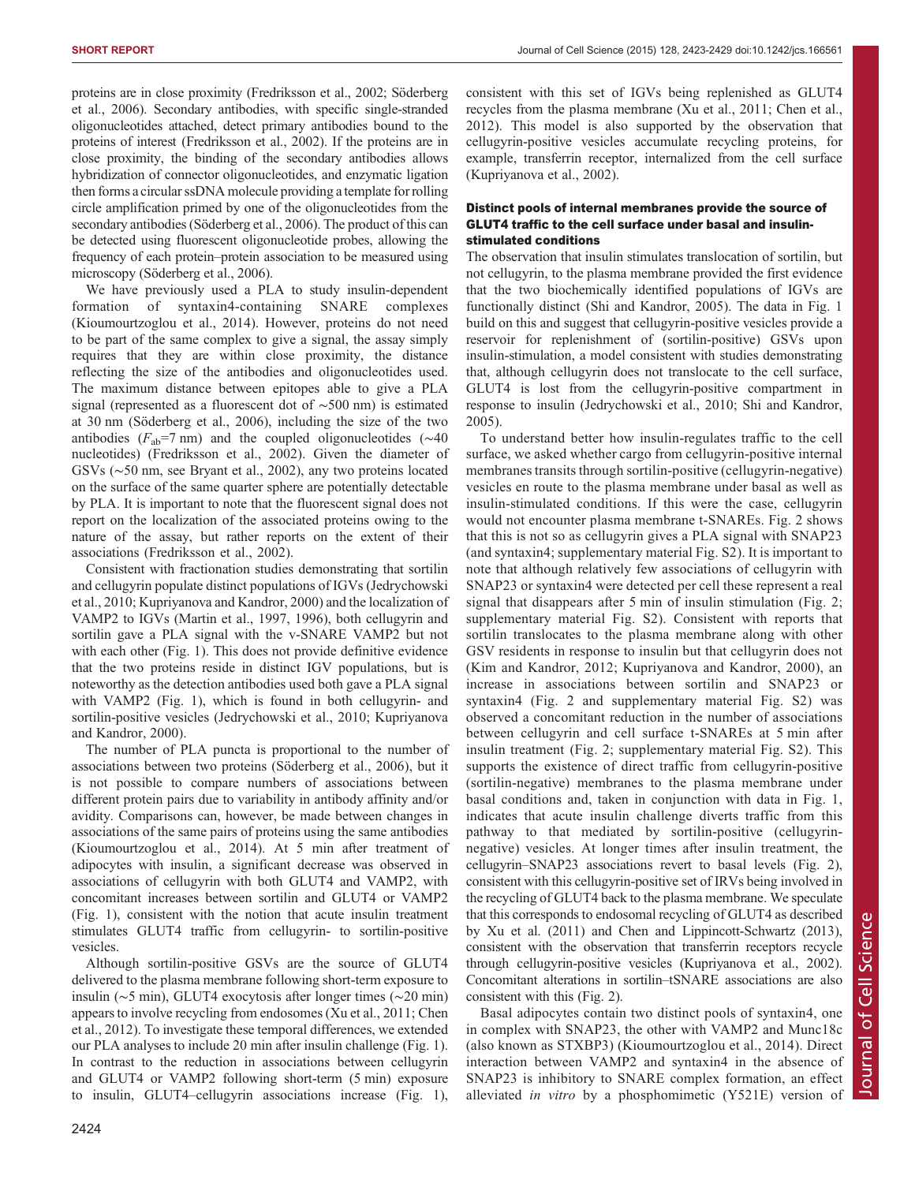proteins are in close proximity [\(Fredriksson et al., 2002; Söderberg](#page-5-0) [et al., 2006](#page-5-0)). Secondary antibodies, with specific single-stranded oligonucleotides attached, detect primary antibodies bound to the proteins of interest ([Fredriksson et al., 2002\)](#page-5-0). If the proteins are in close proximity, the binding of the secondary antibodies allows hybridization of connector oligonucleotides, and enzymatic ligation then forms a circular ssDNA molecule providing a template for rolling circle amplification primed by one of the oligonucleotides from the secondary antibodies ([Söderberg et al., 2006](#page-5-0)). The product of this can be detected using fluorescent oligonucleotide probes, allowing the frequency of each protein–protein association to be measured using microscopy [\(Söderberg et al., 2006\)](#page-5-0).

We have previously used a PLA to study insulin-dependent formation of syntaxin4-containing SNARE complexes [\(Kioumourtzoglou et al., 2014\)](#page-5-0). However, proteins do not need to be part of the same complex to give a signal, the assay simply requires that they are within close proximity, the distance reflecting the size of the antibodies and oligonucleotides used. The maximum distance between epitopes able to give a PLA signal (represented as a fluorescent dot of ∼500 nm) is estimated at 30 nm [\(Söderberg et al., 2006\)](#page-5-0), including the size of the two antibodies ( $F_{ab}$ =7 nm) and the coupled oligonucleotides ( $\sim$ 40 nucleotides) [\(Fredriksson et al., 2002](#page-5-0)). Given the diameter of GSVs (∼50 nm, see [Bryant et al., 2002](#page-5-0)), any two proteins located on the surface of the same quarter sphere are potentially detectable by PLA. It is important to note that the fluorescent signal does not report on the localization of the associated proteins owing to the nature of the assay, but rather reports on the extent of their associations ([Fredriksson et al., 2002](#page-5-0)).

Consistent with fractionation studies demonstrating that sortilin and cellugyrin populate distinct populations of IGVs [\(Jedrychowski](#page-5-0) [et al., 2010; Kupriyanova and Kandror, 2000](#page-5-0)) and the localization of VAMP2 to IGVs ([Martin et al., 1997, 1996](#page-5-0)), both cellugyrin and sortilin gave a PLA signal with the v-SNARE VAMP2 but not with each other [\(Fig. 1\)](#page-2-0). This does not provide definitive evidence that the two proteins reside in distinct IGV populations, but is noteworthy as the detection antibodies used both gave a PLA signal with VAMP2 [\(Fig. 1](#page-2-0)), which is found in both cellugyrin- and sortilin-positive vesicles [\(Jedrychowski et al., 2010](#page-5-0); [Kupriyanova](#page-5-0) [and Kandror, 2000\)](#page-5-0).

The number of PLA puncta is proportional to the number of associations between two proteins ([Söderberg et al., 2006\)](#page-5-0), but it is not possible to compare numbers of associations between different protein pairs due to variability in antibody affinity and/or avidity. Comparisons can, however, be made between changes in associations of the same pairs of proteins using the same antibodies [\(Kioumourtzoglou et al., 2014](#page-5-0)). At 5 min after treatment of adipocytes with insulin, a significant decrease was observed in associations of cellugyrin with both GLUT4 and VAMP2, with concomitant increases between sortilin and GLUT4 or VAMP2 [\(Fig. 1](#page-2-0)), consistent with the notion that acute insulin treatment stimulates GLUT4 traffic from cellugyrin- to sortilin-positive vesicles.

Although sortilin-positive GSVs are the source of GLUT4 delivered to the plasma membrane following short-term exposure to insulin (∼5 min), GLUT4 exocytosis after longer times (∼20 min) appears to involve recycling from endosomes ([Xu et al., 2011;](#page-6-0) [Chen](#page-5-0) [et al., 2012](#page-5-0)). To investigate these temporal differences, we extended our PLA analyses to include 20 min after insulin challenge ([Fig. 1\)](#page-2-0). In contrast to the reduction in associations between cellugyrin and GLUT4 or VAMP2 following short-term (5 min) exposure to insulin, GLUT4–cellugyrin associations increase [\(Fig. 1\)](#page-2-0),

consistent with this set of IGVs being replenished as GLUT4 recycles from the plasma membrane [\(Xu et al., 2011](#page-6-0); [Chen et al.,](#page-5-0) [2012\)](#page-5-0). This model is also supported by the observation that cellugyrin-positive vesicles accumulate recycling proteins, for example, transferrin receptor, internalized from the cell surface [\(Kupriyanova et al., 2002](#page-5-0)).

## Distinct pools of internal membranes provide the source of GLUT4 traffic to the cell surface under basal and insulinstimulated conditions

The observation that insulin stimulates translocation of sortilin, but not cellugyrin, to the plasma membrane provided the first evidence that the two biochemically identified populations of IGVs are functionally distinct [\(Shi and Kandror, 2005](#page-5-0)). The data in [Fig. 1](#page-2-0) build on this and suggest that cellugyrin-positive vesicles provide a reservoir for replenishment of (sortilin-positive) GSVs upon insulin-stimulation, a model consistent with studies demonstrating that, although cellugyrin does not translocate to the cell surface, GLUT4 is lost from the cellugyrin-positive compartment in response to insulin [\(Jedrychowski et al., 2010; Shi and Kandror,](#page-5-0) [2005\)](#page-5-0).

To understand better how insulin-regulates traffic to the cell surface, we asked whether cargo from cellugyrin-positive internal membranes transits through sortilin-positive (cellugyrin-negative) vesicles en route to the plasma membrane under basal as well as insulin-stimulated conditions. If this were the case, cellugyrin would not encounter plasma membrane t-SNAREs. [Fig. 2](#page-3-0) shows that this is not so as cellugyrin gives a PLA signal with SNAP23 (and syntaxin4; [supplementary material Fig. S2](http://jcs.biologists.org/lookup/suppl/doi:10.1242/jcs.166561/-/DC1)). It is important to note that although relatively few associations of cellugyrin with SNAP23 or syntaxin4 were detected per cell these represent a real signal that disappears after 5 min of insulin stimulation ([Fig. 2](#page-3-0); [supplementary material Fig. S2\)](http://jcs.biologists.org/lookup/suppl/doi:10.1242/jcs.166561/-/DC1). Consistent with reports that sortilin translocates to the plasma membrane along with other GSV residents in response to insulin but that cellugyrin does not [\(Kim and Kandror, 2012; Kupriyanova and Kandror, 2000\)](#page-5-0), an increase in associations between sortilin and SNAP23 or syntaxin4 [\(Fig. 2](#page-3-0) and [supplementary material Fig. S2\)](http://jcs.biologists.org/lookup/suppl/doi:10.1242/jcs.166561/-/DC1) was observed a concomitant reduction in the number of associations between cellugyrin and cell surface t-SNAREs at 5 min after insulin treatment ([Fig. 2](#page-3-0); [supplementary material Fig. S2\)](http://jcs.biologists.org/lookup/suppl/doi:10.1242/jcs.166561/-/DC1). This supports the existence of direct traffic from cellugyrin-positive (sortilin-negative) membranes to the plasma membrane under basal conditions and, taken in conjunction with data in [Fig. 1,](#page-2-0) indicates that acute insulin challenge diverts traffic from this pathway to that mediated by sortilin-positive (cellugyrinnegative) vesicles. At longer times after insulin treatment, the cellugyrin–SNAP23 associations revert to basal levels [\(Fig. 2\)](#page-3-0), consistent with this cellugyrin-positive set of IRVs being involved in the recycling of GLUT4 back to the plasma membrane. We speculate that this corresponds to endosomal recycling of GLUT4 as described by [Xu et al. \(2011\)](#page-6-0) and [Chen and Lippincott-Schwartz \(2013\)](#page-5-0), consistent with the observation that transferrin receptors recycle through cellugyrin-positive vesicles [\(Kupriyanova et al., 2002\)](#page-5-0). Concomitant alterations in sortilin–tSNARE associations are also consistent with this ([Fig. 2\)](#page-3-0).

Basal adipocytes contain two distinct pools of syntaxin4, one in complex with SNAP23, the other with VAMP2 and Munc18c (also known as STXBP3) ([Kioumourtzoglou et al., 2014\)](#page-5-0). Direct interaction between VAMP2 and syntaxin4 in the absence of SNAP23 is inhibitory to SNARE complex formation, an effect alleviated in vitro by a phosphomimetic (Y521E) version of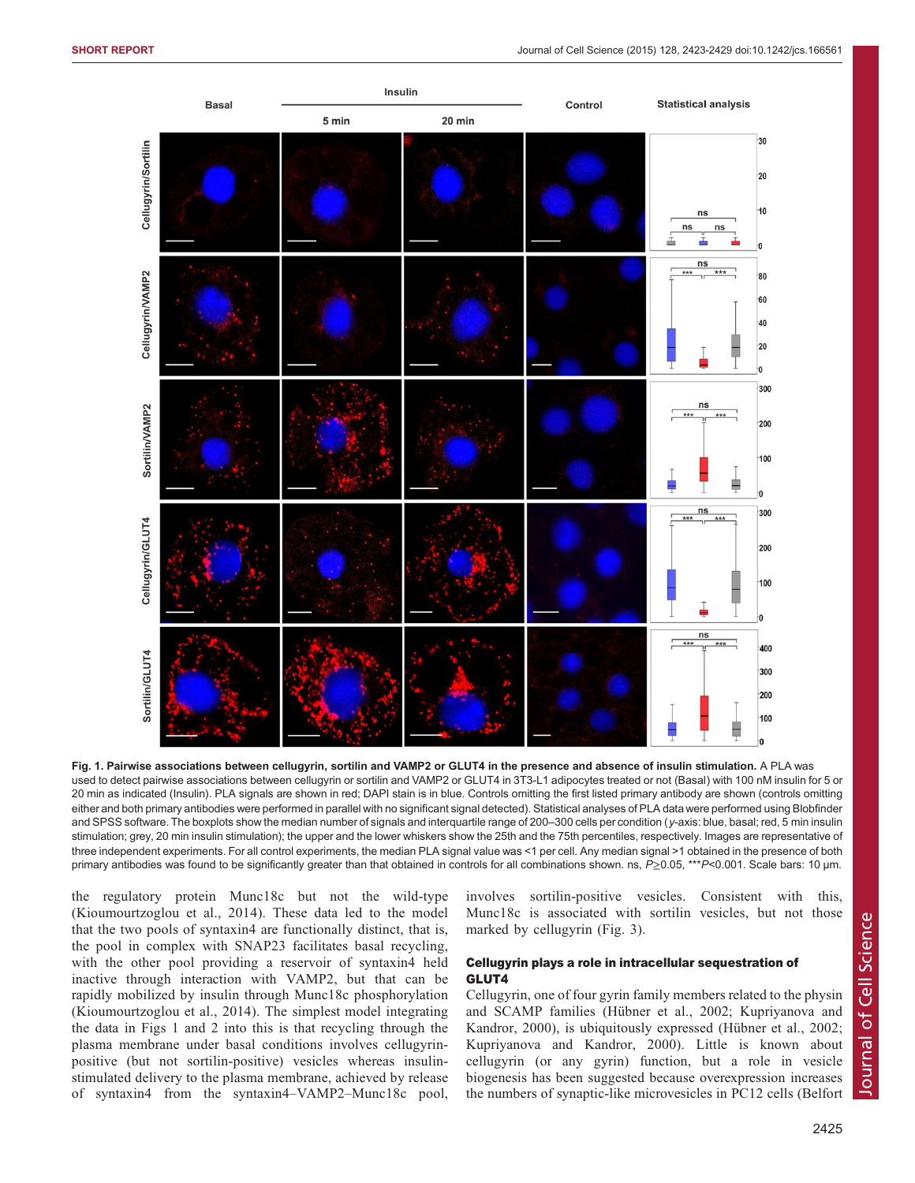<span id="page-2-0"></span>

Fig. 1. Pairwise associations between cellugyrin, sortilin and VAMP2 or GLUT4 in the presence and absence of insulin stimulation. A PLA was used to detect pairwise associations between cellugyrin or sortilin and VAMP2 or GLUT4 in 3T3-L1 adipocytes treated or not (Basal) with 100 nM insulin for 5 or 20 min as indicated (Insulin). PLA signals are shown in red; DAPI stain is in blue. Controls omitting the first listed primary antibody are shown (controls omitting either and both primary antibodies were performed in parallel with no significant signal detected). Statistical analyses of PLA data were performed using Blobfinder and SPSS software. The boxplots show the median number of signals and interquartile range of 200-300 cells per condition (y-axis: blue, basal; red, 5 min insulin stimulation; grey, 20 min insulin stimulation); the upper and the lower whiskers show the 25th and the 75th percentiles, respectively. Images are representative of three independent experiments. For all control experiments, the median PLA signal value was <1 per cell. Any median signal >1 obtained in the presence of both primary antibodies was found to be significantly greater than that obtained in controls for all combinations shown. ns, P≥0.05, \*\*\*P<0.001. Scale bars: 10 μm.

the regulatory protein Munc18c but not the wild-type [\(Kioumourtzoglou et al., 2014](#page-5-0)). These data led to the model that the two pools of syntaxin4 are functionally distinct, that is, the pool in complex with SNAP23 facilitates basal recycling, with the other pool providing a reservoir of syntaxin4 held inactive through interaction with VAMP2, but that can be rapidly mobilized by insulin through Munc18c phosphorylation [\(Kioumourtzoglou et al., 2014](#page-5-0)). The simplest model integrating the data in Figs 1 and [2](#page-3-0) into this is that recycling through the plasma membrane under basal conditions involves cellugyrinpositive (but not sortilin-positive) vesicles whereas insulinstimulated delivery to the plasma membrane, achieved by release of syntaxin4 from the syntaxin4–VAMP2–Munc18c pool,

involves sortilin-positive vesicles. Consistent with this, Munc18c is associated with sortilin vesicles, but not those marked by cellugyrin ([Fig. 3\)](#page-3-0).

# Cellugyrin plays a role in intracellular sequestration of GLUT4

Cellugyrin, one of four gyrin family members related to the physin and SCAMP families ([Hübner et al., 2002; Kupriyanova and](#page-5-0) [Kandror, 2000](#page-5-0)), is ubiquitously expressed [\(Hübner et al., 2002](#page-5-0); [Kupriyanova and Kandror, 2000\)](#page-5-0). Little is known about cellugyrin (or any gyrin) function, but a role in vesicle biogenesis has been suggested because overexpression increases the numbers of synaptic-like microvesicles in PC12 cells ([Belfort](#page-5-0)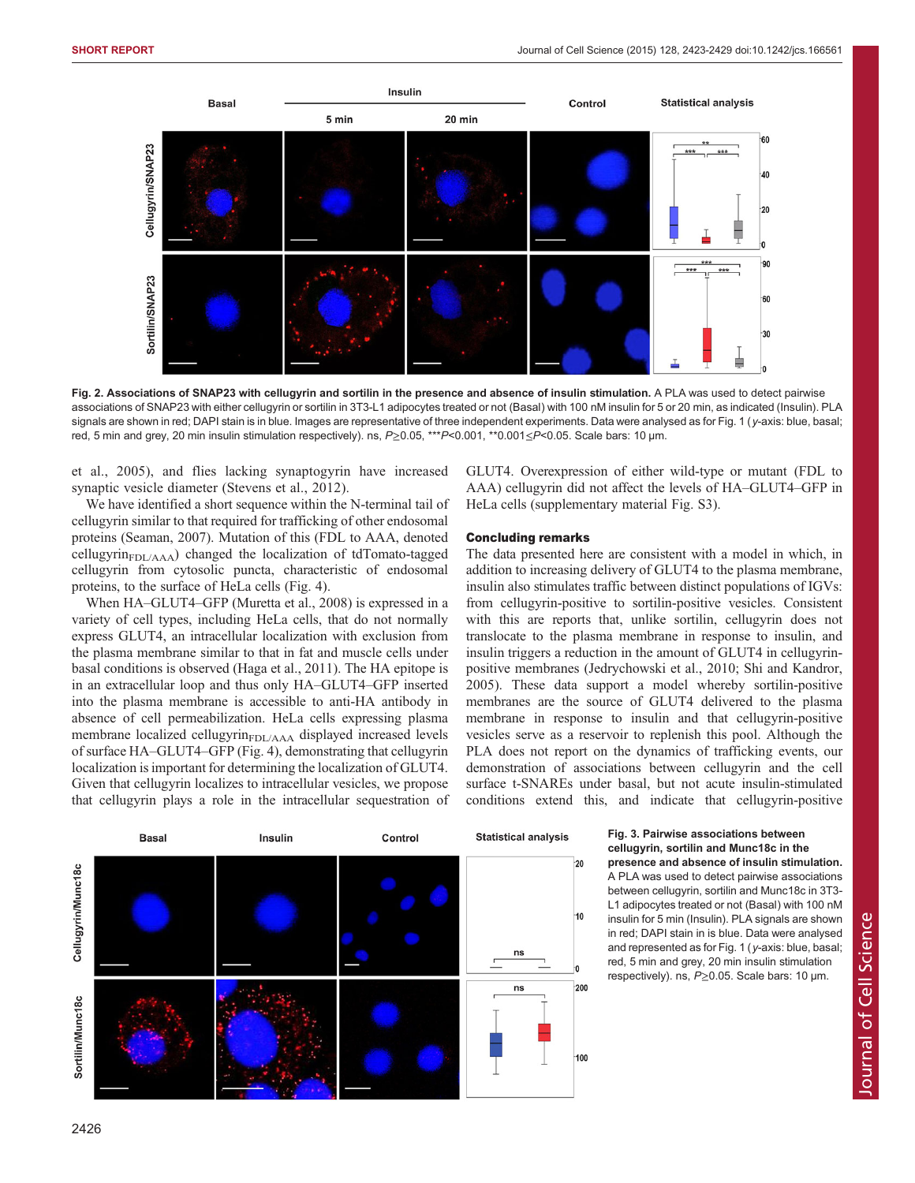<span id="page-3-0"></span>![](_page_3_Figure_2.jpeg)

Fig. 2. Associations of SNAP23 with cellugyrin and sortilin in the presence and absence of insulin stimulation. A PLA was used to detect pairwise associations of SNAP23 with either cellugyrin or sortilin in 3T3-L1 adipocytes treated or not (Basal) with 100 nM insulin for 5 or 20 min, as indicated (Insulin). PLA signals are shown in red; DAPI stain is in blue. Images are representative of three independent experiments. Data were analysed as for [Fig. 1](#page-2-0) (y-axis: blue, basal; red, 5 min and grey, 20 min insulin stimulation respectively). ns, P≥0.05, \*\*\*P<0.001, \*\*0.001≤P<0.05. Scale bars: 10 μm.

[et al., 2005\)](#page-5-0), and flies lacking synaptogyrin have increased synaptic vesicle diameter ([Stevens et al., 2012](#page-6-0)).

We have identified a short sequence within the N-terminal tail of cellugyrin similar to that required for trafficking of other endosomal proteins [\(Seaman, 2007\)](#page-5-0). Mutation of this (FDL to AAA, denoted cellugyrin $_{FDL/AAA}$ ) changed the localization of tdTomato-tagged cellugyrin from cytosolic puncta, characteristic of endosomal proteins, to the surface of HeLa cells ([Fig. 4\)](#page-4-0).

When HA–GLUT4–GFP ([Muretta et al., 2008\)](#page-5-0) is expressed in a variety of cell types, including HeLa cells, that do not normally express GLUT4, an intracellular localization with exclusion from the plasma membrane similar to that in fat and muscle cells under basal conditions is observed [\(Haga et al., 2011](#page-5-0)). The HA epitope is in an extracellular loop and thus only HA–GLUT4–GFP inserted into the plasma membrane is accessible to anti-HA antibody in absence of cell permeabilization. HeLa cells expressing plasma membrane localized cellugyrin<sub>FDL/AAA</sub> displayed increased levels of surface HA–GLUT4–GFP ([Fig. 4\)](#page-4-0), demonstrating that cellugyrin localization is important for determining the localization of GLUT4. Given that cellugyrin localizes to intracellular vesicles, we propose that cellugyrin plays a role in the intracellular sequestration of GLUT4. Overexpression of either wild-type or mutant (FDL to AAA) cellugyrin did not affect the levels of HA–GLUT4–GFP in HeLa cells [\(supplementary material Fig. S3](http://jcs.biologists.org/lookup/suppl/doi:10.1242/jcs.166561/-/DC1)).

## Concluding remarks

The data presented here are consistent with a model in which, in addition to increasing delivery of GLUT4 to the plasma membrane, insulin also stimulates traffic between distinct populations of IGVs: from cellugyrin-positive to sortilin-positive vesicles. Consistent with this are reports that, unlike sortilin, cellugyrin does not translocate to the plasma membrane in response to insulin, and insulin triggers a reduction in the amount of GLUT4 in cellugyrinpositive membranes [\(Jedrychowski et al., 2010](#page-5-0); [Shi and Kandror,](#page-5-0) [2005\)](#page-5-0). These data support a model whereby sortilin-positive membranes are the source of GLUT4 delivered to the plasma membrane in response to insulin and that cellugyrin-positive vesicles serve as a reservoir to replenish this pool. Although the PLA does not report on the dynamics of trafficking events, our demonstration of associations between cellugyrin and the cell surface t-SNAREs under basal, but not acute insulin-stimulated conditions extend this, and indicate that cellugyrin-positive

![](_page_3_Figure_10.jpeg)

# Fig. 3. Pairwise associations between cellugyrin, sortilin and Munc18c in the

presence and absence of insulin stimulation. A PLA was used to detect pairwise associations between cellugyrin, sortilin and Munc18c in 3T3- L1 adipocytes treated or not (Basal) with 100 nM insulin for 5 min (Insulin). PLA signals are shown in red; DAPI stain in is blue. Data were analysed and represented as for [Fig. 1](#page-2-0) (y-axis: blue, basal; red, 5 min and grey, 20 min insulin stimulation respectively). ns,  $P \ge 0.05$ . Scale bars: 10 µm.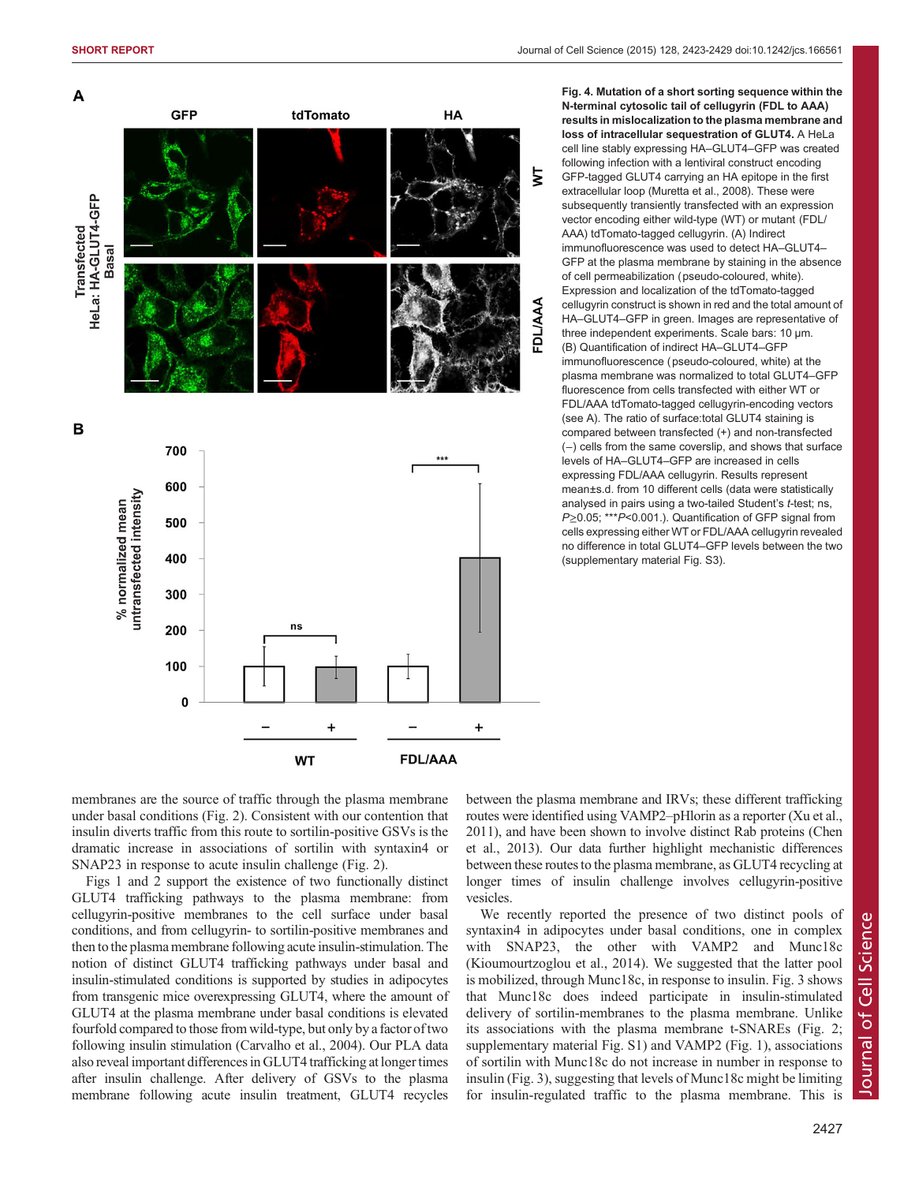<span id="page-4-0"></span>![](_page_4_Figure_2.jpeg)

Fig. 4. Mutation of a short sorting sequence within the N-terminal cytosolic tail of cellugyrin (FDL to AAA) results in mislocalization to the plasma membrane and loss of intracellular sequestration of GLUT4. A HeLa cell line stably expressing HA–GLUT4–GFP was created following infection with a lentiviral construct encoding GFP-tagged GLUT4 carrying an HA epitope in the first extracellular loop [\(Muretta et al., 2008](#page-5-0)). These were subsequently transiently transfected with an expression vector encoding either wild-type (WT) or mutant (FDL/ AAA) tdTomato-tagged cellugyrin. (A) Indirect immunofluorescence was used to detect HA–GLUT4– GFP at the plasma membrane by staining in the absence of cell permeabilization (pseudo-coloured, white). Expression and localization of the tdTomato-tagged cellugyrin construct is shown in red and the total amount of HA–GLUT4–GFP in green. Images are representative of three independent experiments. Scale bars: 10 μm. (B) Quantification of indirect HA–GLUT4–GFP immunofluorescence (pseudo-coloured, white) at the plasma membrane was normalized to total GLUT4–GFP fluorescence from cells transfected with either WT or FDL/AAA tdTomato-tagged cellugyrin-encoding vectors (see A). The ratio of surface:total GLUT4 staining is compared between transfected (+) and non-transfected (−) cells from the same coverslip, and shows that surface levels of HA–GLUT4–GFP are increased in cells expressing FDL/AAA cellugyrin. Results represent mean±s.d. from 10 different cells (data were statistically analysed in pairs using a two-tailed Student's t-test; ns, P≥0.05; \*\*\*P<0.001.). Quantification of GFP signal from cells expressing either WT or FDL/AAA cellugyrin revealed no difference in total GLUT4–GFP levels between the two [\(supplementary material Fig. S3](http://jcs.biologists.org/lookup/suppl/doi:10.1242/jcs.166561/-/DC1)).

membranes are the source of traffic through the plasma membrane under basal conditions [\(Fig. 2](#page-3-0)). Consistent with our contention that insulin diverts traffic from this route to sortilin-positive GSVs is the dramatic increase in associations of sortilin with syntaxin4 or SNAP23 in response to acute insulin challenge [\(Fig. 2\)](#page-3-0).

[Figs 1](#page-2-0) and [2](#page-3-0) support the existence of two functionally distinct GLUT4 trafficking pathways to the plasma membrane: from cellugyrin-positive membranes to the cell surface under basal conditions, and from cellugyrin- to sortilin-positive membranes and then to the plasma membrane following acute insulin-stimulation. The notion of distinct GLUT4 trafficking pathways under basal and insulin-stimulated conditions is supported by studies in adipocytes from transgenic mice overexpressing GLUT4, where the amount of GLUT4 at the plasma membrane under basal conditions is elevated fourfold compared to those from wild-type, but only by a factor of two following insulin stimulation ([Carvalho et al., 2004](#page-5-0)). Our PLA data also reveal important differences in GLUT4 trafficking at longer times after insulin challenge. After delivery of GSVs to the plasma membrane following acute insulin treatment, GLUT4 recycles

between the plasma membrane and IRVs; these different trafficking routes were identified using VAMP2–pHlorin as a reporter ([Xu et al.,](#page-6-0) [2011\)](#page-6-0), and have been shown to involve distinct Rab proteins (Chen et al., 2013). Our data further highlight mechanistic differences between these routes to the plasma membrane, as GLUT4 recycling at longer times of insulin challenge involves cellugyrin-positive vesicles.

We recently reported the presence of two distinct pools of syntaxin4 in adipocytes under basal conditions, one in complex with SNAP23, the other with VAMP2 and Munc18c [\(Kioumourtzoglou et al., 2014\)](#page-5-0). We suggested that the latter pool is mobilized, through Munc18c, in response to insulin. [Fig. 3](#page-3-0) shows that Munc18c does indeed participate in insulin-stimulated delivery of sortilin-membranes to the plasma membrane. Unlike its associations with the plasma membrane t-SNAREs ([Fig. 2](#page-3-0); [supplementary material Fig. S1](http://jcs.biologists.org/lookup/suppl/doi:10.1242/jcs.166561/-/DC1)) and VAMP2 ([Fig. 1\)](#page-2-0), associations of sortilin with Munc18c do not increase in number in response to insulin ([Fig. 3](#page-3-0)), suggesting that levels of Munc18c might be limiting for insulin-regulated traffic to the plasma membrane. This is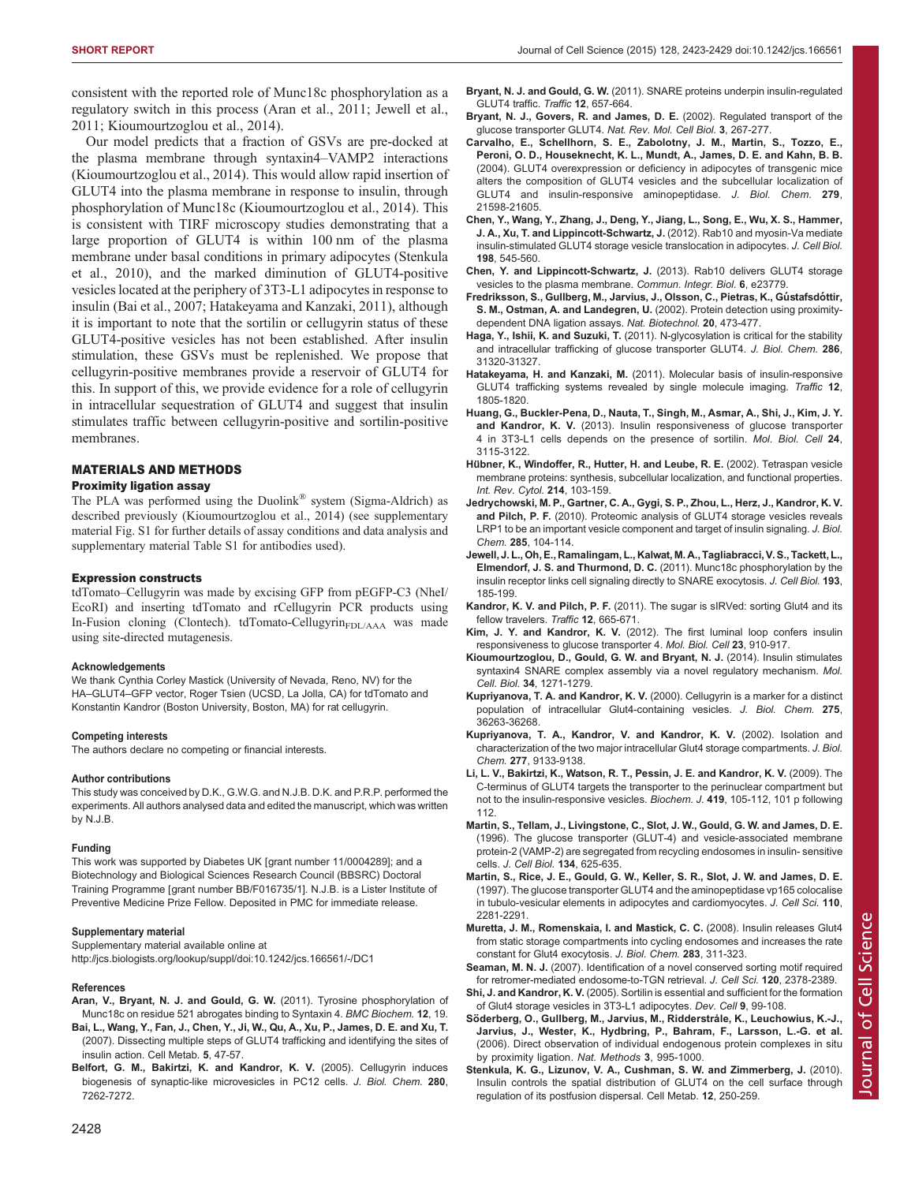<span id="page-5-0"></span>consistent with the reported role of Munc18c phosphorylation as a regulatory switch in this process (Aran et al., 2011; Jewell et al., 2011; Kioumourtzoglou et al., 2014).

Our model predicts that a fraction of GSVs are pre-docked at the plasma membrane through syntaxin4–VAMP2 interactions (Kioumourtzoglou et al., 2014). This would allow rapid insertion of GLUT4 into the plasma membrane in response to insulin, through phosphorylation of Munc18c (Kioumourtzoglou et al., 2014). This is consistent with TIRF microscopy studies demonstrating that a large proportion of GLUT4 is within 100 nm of the plasma membrane under basal conditions in primary adipocytes (Stenkula et al., 2010), and the marked diminution of GLUT4-positive vesicles located at the periphery of 3T3-L1 adipocytes in response to insulin (Bai et al., 2007; Hatakeyama and Kanzaki, 2011), although it is important to note that the sortilin or cellugyrin status of these GLUT4-positive vesicles has not been established. After insulin stimulation, these GSVs must be replenished. We propose that cellugyrin-positive membranes provide a reservoir of GLUT4 for this. In support of this, we provide evidence for a role of cellugyrin in intracellular sequestration of GLUT4 and suggest that insulin stimulates traffic between cellugyrin-positive and sortilin-positive membranes.

## MATERIALS AND METHODS

## Proximity ligation assay

The PLA was performed using the Duolink® system (Sigma-Aldrich) as described previously (Kioumourtzoglou et al., 2014) (see [supplementary](http://jcs.biologists.org/lookup/suppl/doi:10.1242/jcs.166561/-/DC1) [material Fig. S1](http://jcs.biologists.org/lookup/suppl/doi:10.1242/jcs.166561/-/DC1) for further details of assay conditions and data analysis and [supplementary material Table S1](http://jcs.biologists.org/lookup/suppl/doi:10.1242/jcs.166561/-/DC1) for antibodies used).

## Expression constructs

tdTomato–Cellugyrin was made by excising GFP from pEGFP-C3 (NheI/ EcoRI) and inserting tdTomato and rCellugyrin PCR products using In-Fusion cloning (Clontech). tdTomato-Cellugyrin<sub>FDL/AAA</sub> was made using site-directed mutagenesis.

## Acknowledgements

We thank Cynthia Corley Mastick (University of Nevada, Reno, NV) for the HA–GLUT4–GFP vector, Roger Tsien (UCSD, La Jolla, CA) for tdTomato and Konstantin Kandror (Boston University, Boston, MA) for rat cellugyrin.

## Competing interests

The authors declare no competing or financial interests.

## Author contributions

This study was conceived by D.K., G.W.G. and N.J.B. D.K. and P.R.P. performed the experiments. All authors analysed data and edited the manuscript, which was written by N.J.B.

## Funding

This work was supported by Diabetes UK [grant number 11/0004289]; and a Biotechnology and Biological Sciences Research Council (BBSRC) Doctoral Training Programme [grant number BB/F016735/1]. N.J.B. is a Lister Institute of Preventive Medicine Prize Fellow. Deposited in PMC for immediate release.

## Supplementary material

Supplementary material available online at <http://jcs.biologists.org/lookup/suppl/doi:10.1242/jcs.166561/-/DC1>

## References

- [Aran, V., Bryant, N. J. and Gould, G. W.](http://dx.doi.org/10.1186/1471-2091-12-19) (2011). Tyrosine phosphorylation of [Munc18c on residue 521 abrogates binding to Syntaxin 4.](http://dx.doi.org/10.1186/1471-2091-12-19) BMC Biochem. 12, 19.
- [Bai, L., Wang, Y., Fan, J., Chen, Y., Ji, W., Qu, A., Xu, P., James, D. E. and Xu, T.](http://dx.doi.org/10.1016/j.cmet.2006.11.013) [\(2007\). Dissecting multiple steps of GLUT4 trafficking and identifying the sites of](http://dx.doi.org/10.1016/j.cmet.2006.11.013) [insulin action. Cell Metab](http://dx.doi.org/10.1016/j.cmet.2006.11.013). 5, 47-57.
- [Belfort, G. M., Bakirtzi, K. and Kandror, K. V.](http://dx.doi.org/10.1074/jbc.M404851200) (2005). Cellugyrin induces [biogenesis of synaptic-like microvesicles in PC12 cells.](http://dx.doi.org/10.1074/jbc.M404851200) J. Biol. Chem. 280, [7262-7272.](http://dx.doi.org/10.1074/jbc.M404851200)
- Bryant, N. J. and Gould, G. W. [\(2011\). SNARE proteins underpin insulin-regulated](http://dx.doi.org/10.1111/j.1600-0854.2011.01163.x) [GLUT4 traffic.](http://dx.doi.org/10.1111/j.1600-0854.2011.01163.x) Traffic 12, 657-664.
- [Bryant, N. J., Govers, R. and James, D. E.](http://dx.doi.org/10.1038/nrm782) (2002). Regulated transport of the [glucose transporter GLUT4.](http://dx.doi.org/10.1038/nrm782) Nat. Rev. Mol. Cell Biol. 3, 267-277.
- [Carvalho, E., Schellhorn, S. E., Zabolotny, J. M., Martin, S., Tozzo, E.,](http://dx.doi.org/10.1074/jbc.M312269200) [Peroni, O. D., Houseknecht, K. L., Mundt, A., James, D. E. and Kahn, B. B.](http://dx.doi.org/10.1074/jbc.M312269200) [\(2004\). GLUT4 overexpression or deficiency in adipocytes of transgenic mice](http://dx.doi.org/10.1074/jbc.M312269200) [alters the composition of GLUT4 vesicles and the subcellular localization of](http://dx.doi.org/10.1074/jbc.M312269200) [GLUT4 and insulin-responsive aminopeptidase.](http://dx.doi.org/10.1074/jbc.M312269200) J. Biol. Chem. 279, [21598-21605.](http://dx.doi.org/10.1074/jbc.M312269200)
- [Chen, Y., Wang, Y., Zhang, J., Deng, Y., Jiang, L., Song, E., Wu, X. S., Hammer,](http://dx.doi.org/10.1083/jcb.201111091) [J. A., Xu, T. and Lippincott-Schwartz, J.](http://dx.doi.org/10.1083/jcb.201111091) (2012). Rab10 and myosin-Va mediate [insulin-stimulated GLUT4 storage vesicle translocation in adipocytes.](http://dx.doi.org/10.1083/jcb.201111091) J. Cell Biol. 198[, 545-560.](http://dx.doi.org/10.1083/jcb.201111091)
- [Chen, Y. and Lippincott-Schwartz, J.](http://dx.doi.org/10.4161/cib.23779) (2013). Rab10 delivers GLUT4 storage [vesicles to the plasma membrane.](http://dx.doi.org/10.4161/cib.23779) Commun. Integr. Biol. 6, e23779.
- [Fredriksson, S., Gullberg, M., Jarvius, J., Olsson, C., Pietras, K., Gu](http://dx.doi.org/10.1038/nbt0502-473)́stafsdóttir, S. M., Ostman, A. and Landegren, U. [\(2002\). Protein detection using proximity](http://dx.doi.org/10.1038/nbt0502-473)[dependent DNA ligation assays.](http://dx.doi.org/10.1038/nbt0502-473) Nat. Biotechnol. 20, 473-477.
- Haga, Y., Ishii, K. and Suzuki, T. [\(2011\). N-glycosylation is critical for the stability](http://dx.doi.org/10.1074/jbc.M111.253955) [and intracellular trafficking of glucose transporter GLUT4.](http://dx.doi.org/10.1074/jbc.M111.253955) J. Biol. Chem. 286, [31320-31327.](http://dx.doi.org/10.1074/jbc.M111.253955)
- Hatakeyama, H. and Kanzaki, M. [\(2011\). Molecular basis of insulin-responsive](http://dx.doi.org/10.1111/j.1600-0854.2011.01279.x) [GLUT4 trafficking systems revealed by single molecule imaging.](http://dx.doi.org/10.1111/j.1600-0854.2011.01279.x) Traffic 12, [1805-1820.](http://dx.doi.org/10.1111/j.1600-0854.2011.01279.x)
- [Huang, G., Buckler-Pena, D., Nauta, T., Singh, M., Asmar, A., Shi, J., Kim, J. Y.](http://dx.doi.org/10.1091/mbc.E12-10-0765) and Kandror, K. V. [\(2013\). Insulin responsiveness of glucose transporter](http://dx.doi.org/10.1091/mbc.E12-10-0765) [4 in 3T3-L1 cells depends on the presence of sortilin.](http://dx.doi.org/10.1091/mbc.E12-10-0765) Mol. Biol. Cell 24, [3115-3122.](http://dx.doi.org/10.1091/mbc.E12-10-0765)
- Hü[bner, K., Windoffer, R., Hutter, H. and Leube, R. E.](http://dx.doi.org/10.1016/s0074-7696(02)14004-6) (2002). Tetraspan vesicle [membrane proteins: synthesis, subcellular localization, and functional properties.](http://dx.doi.org/10.1016/s0074-7696(02)14004-6) [Int. Rev. Cytol.](http://dx.doi.org/10.1016/s0074-7696(02)14004-6) 214, 103-159.
- [Jedrychowski, M. P., Gartner, C. A., Gygi, S. P., Zhou, L., Herz, J., Kandror, K. V.](http://dx.doi.org/10.1074/jbc.M109.040428) and Pilch, P. F. [\(2010\). Proteomic analysis of GLUT4 storage vesicles reveals](http://dx.doi.org/10.1074/jbc.M109.040428) [LRP1 to be an important vesicle component and target of insulin signaling.](http://dx.doi.org/10.1074/jbc.M109.040428) J. Biol. Chem. 285[, 104-114.](http://dx.doi.org/10.1074/jbc.M109.040428)
- [Jewell, J. L., Oh, E., Ramalingam, L., Kalwat, M. A., Tagliabracci, V. S., Tackett, L.,](http://dx.doi.org/10.1083/jcb.201007176) Elmendorf, J. S. and Thurmond, D. C. [\(2011\). Munc18c phosphorylation by the](http://dx.doi.org/10.1083/jcb.201007176) [insulin receptor links cell signaling directly to SNARE exocytosis.](http://dx.doi.org/10.1083/jcb.201007176) J. Cell Biol. 193, [185-199.](http://dx.doi.org/10.1083/jcb.201007176)
- Kandror, K. V. and Pilch, P. F. (2011). The sugar is slRVed: sorting Glut4 and its [fellow travelers.](http://dx.doi.org/10.1111/j.1600-0854.2011.01175.x) Traffic 12, 665-671.
- Kim, J. Y. and Kandror, K. V. [\(2012\). The first luminal loop confers insulin](http://dx.doi.org/10.1091/mbc.E11-10-0839) [responsiveness to glucose transporter 4.](http://dx.doi.org/10.1091/mbc.E11-10-0839) Mol. Biol. Cell 23, 910-917.
- [Kioumourtzoglou, D., Gould, G. W. and Bryant, N. J.](http://dx.doi.org/10.1128/MCB.01203-13) (2014). Insulin stimulates [syntaxin4 SNARE complex assembly via a novel regulatory mechanism.](http://dx.doi.org/10.1128/MCB.01203-13) Mol. Cell. Biol. 34[, 1271-1279.](http://dx.doi.org/10.1128/MCB.01203-13)
- Kupriyanova, T. A. and Kandror, K. V. [\(2000\). Cellugyrin is a marker for a distinct](http://dx.doi.org/10.1074/jbc.M002797200) [population of intracellular Glut4-containing vesicles.](http://dx.doi.org/10.1074/jbc.M002797200) J. Biol. Chem. 275, [36263-36268.](http://dx.doi.org/10.1074/jbc.M002797200)
- [Kupriyanova, T. A., Kandror, V. and Kandror, K. V.](http://dx.doi.org/10.1074/jbc.M106999200) (2002). Isolation and [characterization of the two major intracellular Glut4 storage compartments.](http://dx.doi.org/10.1074/jbc.M106999200) J. Biol. Chem. 277[, 9133-9138.](http://dx.doi.org/10.1074/jbc.M106999200)
- [Li, L. V., Bakirtzi, K., Watson, R. T., Pessin, J. E. and Kandror, K. V.](http://dx.doi.org/10.1042/BJ20081448) (2009). The [C-terminus of GLUT4 targets the transporter to the perinuclear compartment but](http://dx.doi.org/10.1042/BJ20081448) [not to the insulin-responsive vesicles.](http://dx.doi.org/10.1042/BJ20081448) Biochem. J. 419, 105-112, 101 p following [112.](http://dx.doi.org/10.1042/BJ20081448)
- [Martin, S., Tellam, J., Livingstone, C., Slot, J. W., Gould, G. W. and James, D. E.](http://dx.doi.org/10.1083/jcb.134.3.625) [\(1996\). The glucose transporter \(GLUT-4\) and vesicle-associated membrane](http://dx.doi.org/10.1083/jcb.134.3.625) [protein-2 \(VAMP-2\) are segregated from recycling endosomes in insulin- sensitive](http://dx.doi.org/10.1083/jcb.134.3.625) cells. [J. Cell Biol.](http://dx.doi.org/10.1083/jcb.134.3.625) 134, 625-635.
- Martin, S., Rice, J. E., Gould, G. W., Keller, S. R., Slot, J. W. and James, D. E. (1997). The glucose transporter GLUT4 and the aminopeptidase vp165 colocalise in tubulo-vesicular elements in adipocytes and cardiomyocytes. J. Cell Sci. 110, 2281-2291.
- [Muretta, J. M., Romenskaia, I. and Mastick, C. C.](http://dx.doi.org/10.1074/jbc.M705756200) (2008). Insulin releases Glut4 [from static storage compartments into cycling endosomes and increases the rate](http://dx.doi.org/10.1074/jbc.M705756200) [constant for Glut4 exocytosis.](http://dx.doi.org/10.1074/jbc.M705756200) J. Biol. Chem. 283, 311-323.
- Seaman, M. N. J. [\(2007\). Identification of a novel conserved sorting motif required](http://dx.doi.org/10.1242/jcs.009654) [for retromer-mediated endosome-to-TGN retrieval.](http://dx.doi.org/10.1242/jcs.009654) J. Cell Sci. 120, 2378-2389.
- Shi, J. and Kandror, K. V. [\(2005\). Sortilin is essential and sufficient for the formation](http://dx.doi.org/10.1016/j.devcel.2005.04.004) [of Glut4 storage vesicles in 3T3-L1 adipocytes.](http://dx.doi.org/10.1016/j.devcel.2005.04.004) Dev. Cell 9, 99-108.
- Sö[derberg, O., Gullberg, M., Jarvius, M., Ridderstråle, K., Leuchowius, K.-J.,](http://dx.doi.org/10.1038/nmeth947) [Jarvius, J., Wester, K., Hydbring, P., Bahram, F., Larsson, L.-G. et al.](http://dx.doi.org/10.1038/nmeth947) [\(2006\). Direct observation of individual endogenous protein complexes in situ](http://dx.doi.org/10.1038/nmeth947) [by proximity ligation.](http://dx.doi.org/10.1038/nmeth947) Nat. Methods 3, 995-1000.
- [Stenkula, K. G., Lizunov, V. A., Cushman, S. W. and Zimmerberg, J.](http://dx.doi.org/10.1016/j.cmet.2010.08.005) (2010). [Insulin controls the spatial distribution of GLUT4 on the cell surface through](http://dx.doi.org/10.1016/j.cmet.2010.08.005) [regulation of its postfusion dispersal. Cell Metab](http://dx.doi.org/10.1016/j.cmet.2010.08.005). 12, 250-259.